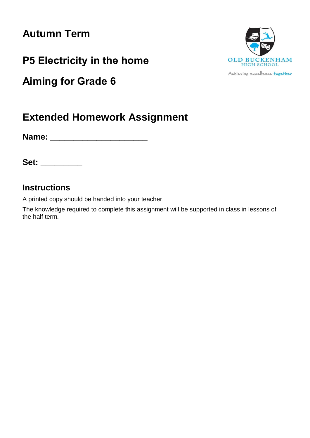# **Autumn Term**

**P5 Electricity in the home**

**Aiming for Grade 6**



**Name: \_\_\_\_\_\_\_\_\_\_\_\_\_\_\_\_\_\_\_\_\_**

**Set: \_\_\_\_\_\_\_\_\_**

# **Instructions**

A printed copy should be handed into your teacher.

The knowledge required to complete this assignment will be supported in class in lessons of the half term.



Achieving excellence together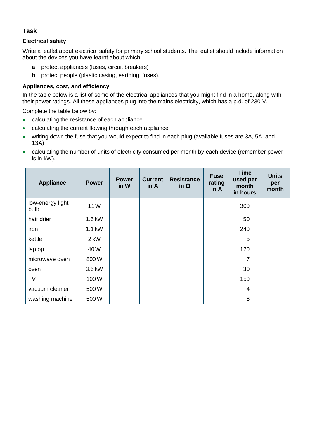## **Task**

#### **Electrical safety**

Write a leaflet about electrical safety for primary school students. The leaflet should include information about the devices you have learnt about which:

- **a** protect appliances (fuses, circuit breakers)
- **b** protect people (plastic casing, earthing, fuses).

#### **Appliances, cost, and efficiency**

In the table below is a list of some of the electrical appliances that you might find in a home, along with their power ratings. All these appliances plug into the mains electricity, which has a p.d. of 230 V.

Complete the table below by:

- calculating the resistance of each appliance
- calculating the current flowing through each appliance
- writing down the fuse that you would expect to find in each plug (available fuses are 3A, 5A, and 13A)
- calculating the number of units of electricity consumed per month by each device (remember power is in kW).

| <b>Appliance</b>         | <b>Power</b> | <b>Power</b><br>in W | <b>Current</b><br>in A | <b>Resistance</b><br>in Ω | <b>Fuse</b><br>rating<br>in A | <b>Time</b><br>used per<br>month<br>in hours | <b>Units</b><br>per<br>month |
|--------------------------|--------------|----------------------|------------------------|---------------------------|-------------------------------|----------------------------------------------|------------------------------|
| low-energy light<br>bulb | 11W          |                      |                        |                           |                               | 300                                          |                              |
| hair drier               | 1.5 kW       |                      |                        |                           |                               | 50                                           |                              |
| iron                     | 1.1 kW       |                      |                        |                           |                               | 240                                          |                              |
| kettle                   | 2 kW         |                      |                        |                           |                               | 5                                            |                              |
| laptop                   | 40W          |                      |                        |                           |                               | 120                                          |                              |
| microwave oven           | 800W         |                      |                        |                           |                               | $\overline{7}$                               |                              |
| oven                     | 3.5 kW       |                      |                        |                           |                               | 30                                           |                              |
| <b>TV</b>                | 100W         |                      |                        |                           |                               | 150                                          |                              |
| vacuum cleaner           | 500W         |                      |                        |                           |                               | 4                                            |                              |
| washing machine          | 500W         |                      |                        |                           |                               | 8                                            |                              |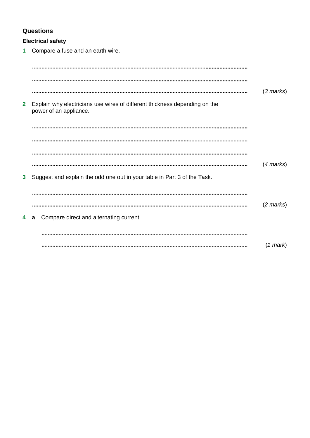# **Questions**

## **Electrical safety**

**1** Compare a fuse and an earth wire.

|              |                                                                                                      | $(3$ marks)         |
|--------------|------------------------------------------------------------------------------------------------------|---------------------|
| $\mathbf{2}$ | Explain why electricians use wires of different thickness depending on the<br>power of an appliance. |                     |
|              |                                                                                                      |                     |
|              |                                                                                                      |                     |
|              |                                                                                                      |                     |
|              |                                                                                                      | $(4$ marks)         |
| 3            | Suggest and explain the odd one out in your table in Part 3 of the Task.                             |                     |
|              |                                                                                                      |                     |
|              |                                                                                                      | $(2 \text{ marks})$ |
| 4            | Compare direct and alternating current.<br>a                                                         |                     |
|              |                                                                                                      |                     |
|              |                                                                                                      | $(1 \text{ mark})$  |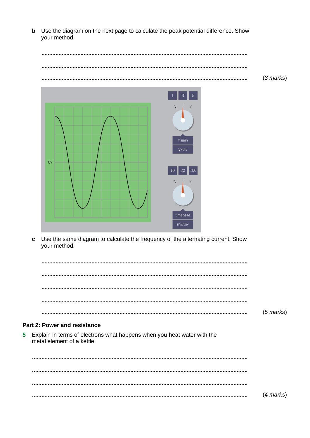**b** Use the diagram on the next page to calculate the peak potential difference. Show your method.

|                                                                    | $(3 \text{ marks})$ |
|--------------------------------------------------------------------|---------------------|
|                                                                    |                     |
| $\overline{5}$<br>$\mathsf 3$<br>$\overline{1}$<br>Y gain<br>V/div |                     |
| $\overline{\text{OV}}$<br>  10   20   100                          |                     |

**c** Use the same diagram to calculate the frequency of the alternating current. Show your method.

| $(5$ marks) |
|-------------|

timebase

#### **Part 2: Power and resistance**

**5** Explain in terms of electrons what happens when you heat water with the metal element of a kettle.

(*4 marks*)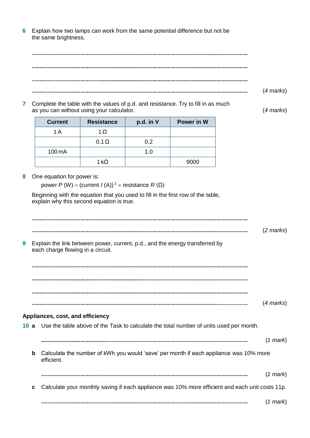**6** Explain how two lamps can work from the same potential difference but not be the same brightness.

(*4 marks*) 

**7** Complete the table with the values of p.d. and resistance. Try to fill in as much as you can without using your calculator. (*4 marks*)

| <b>Current</b> | <b>Resistance</b> | p.d. in V | Power in W |
|----------------|-------------------|-----------|------------|
| 1 A            | 1 $\Omega$        |           |            |
|                | $0.1 \Omega$      | 0.2       |            |
| 100 mA         |                   | 1.0       |            |
|                | 1 kO              |           | 9000       |

**8** One equation for power is:

power *P* (W) = (current *I* (A))<sup>2</sup>  $\times$  resistance *R* (Ω)

Beginning with the equation that you used to fill in the first row of the table, explain why this second equation is true.

(*2 marks*) **9** Explain the link between power, current, p.d., and the energy transferred by each charge flowing in a circuit. (*4 marks*) **Appliances, cost, and efficiency 10 a** Use the table above of the Task to calculate the total number of units used per month. (*1 mark*) **b** Calculate the number of kWh you would 'save' per month if each appliance was 10% more efficient. (*1 mark*) **c** Calculate your monthly saving if each appliance was 10% more efficient and each unit costs 11p. (*1 mark*)